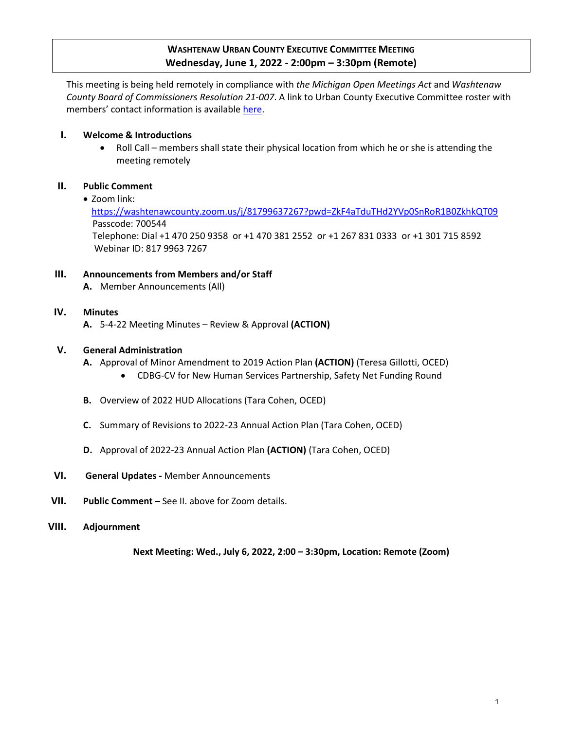## **WASHTENAW URBAN COUNTY EXECUTIVE COMMITTEE MEETING Wednesday, June 1, 2022 - 2:00pm – 3:30pm (Remote)**

This meeting is being held remotely in compliance with *the Michigan Open Meetings Act* and *Washtenaw County Board of Commissioners Resolution 21-007*. A link to Urban County Executive Committee roster with members' contact information is availabl[e here.](https://www.washtenaw.org/DocumentCenter/View/18464/Urban-County-Member-Roster?bidId=)

#### **I. Welcome & Introductions**

 Roll Call – members shall state their physical location from which he or she is attending the meeting remotely

#### **II. Public Comment**

• Zoom link:

<https://washtenawcounty.zoom.us/j/81799637267?pwd=ZkF4aTduTHd2YVp0SnRoR1B0ZkhkQT09> Passcode: 700544 Telephone: Dial +1 470 250 9358 or +1 470 381 2552 or +1 267 831 0333 or +1 301 715 8592 Webinar ID: 817 9963 7267

#### **III. Announcements from Members and/or Staff**

**A.** Member Announcements (All)

#### **IV. Minutes**

**A.** 5-4-22 Meeting Minutes – Review & Approval **(ACTION)** 

#### **V. General Administration**

- **A.** Approval of Minor Amendment to 2019 Action Plan **(ACTION)** (Teresa Gillotti, OCED)
	- CDBG-CV for New Human Services Partnership, Safety Net Funding Round
- **B.** Overview of 2022 HUD Allocations (Tara Cohen, OCED)
- **C.** Summary of Revisions to 2022-23 Annual Action Plan (Tara Cohen, OCED)
- **D.** Approval of 2022-23 Annual Action Plan **(ACTION)** (Tara Cohen, OCED)
- **VI. General Updates** Member Announcements
- **VII. Public Comment** See II. above for Zoom details.
- **VIII. Adjournment**

**Next Meeting: Wed., July 6, 2022, 2:00 – 3:30pm, Location: Remote (Zoom)**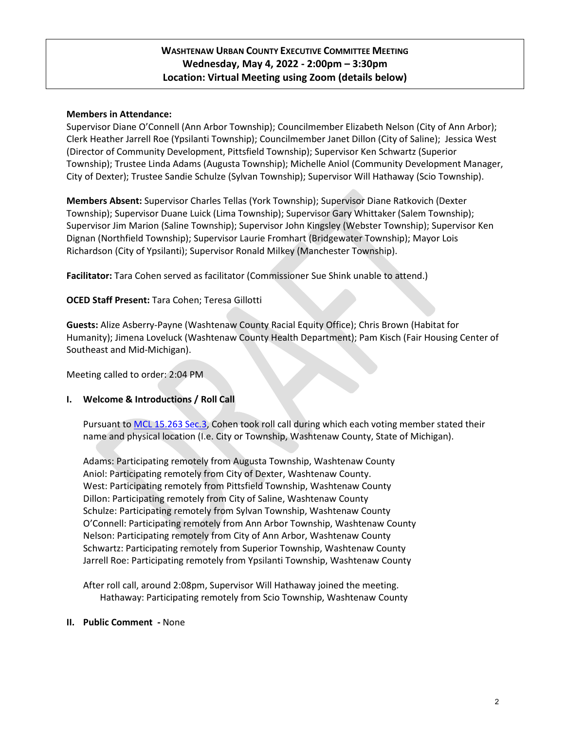## **WASHTENAW URBAN COUNTY EXECUTIVE COMMITTEE MEETING Wednesday, May 4, 2022 - 2:00pm – 3:30pm Location: Virtual Meeting using Zoom (details below)**

#### **Members in Attendance:**

Supervisor Diane O'Connell (Ann Arbor Township); Councilmember Elizabeth Nelson (City of Ann Arbor); Clerk Heather Jarrell Roe (Ypsilanti Township); Councilmember Janet Dillon (City of Saline); Jessica West (Director of Community Development, Pittsfield Township); Supervisor Ken Schwartz (Superior Township); Trustee Linda Adams (Augusta Township); Michelle Aniol (Community Development Manager, City of Dexter); Trustee Sandie Schulze (Sylvan Township); Supervisor Will Hathaway (Scio Township).

**Members Absent:** Supervisor Charles Tellas (York Township); Supervisor Diane Ratkovich (Dexter Township); Supervisor Duane Luick (Lima Township); Supervisor Gary Whittaker (Salem Township); Supervisor Jim Marion (Saline Township); Supervisor John Kingsley (Webster Township); Supervisor Ken Dignan (Northfield Township); Supervisor Laurie Fromhart (Bridgewater Township); Mayor Lois Richardson (City of Ypsilanti); Supervisor Ronald Milkey (Manchester Township).

**Facilitator:** Tara Cohen served as facilitator (Commissioner Sue Shink unable to attend.)

#### **OCED Staff Present:** Tara Cohen; Teresa Gillotti

**Guests:** Alize Asberry-Payne (Washtenaw County Racial Equity Office); Chris Brown (Habitat for Humanity); Jimena Loveluck (Washtenaw County Health Department); Pam Kisch (Fair Housing Center of Southeast and Mid-Michigan).

Meeting called to order: 2:04 PM

#### **I. Welcome & Introductions / Roll Call**

Pursuant t[o MCL 15.263 Sec.3,](http://www.legislature.mi.gov/(S(axbjgekhx50tcsr2wezrew4a))/mileg.aspx?page=getObject&objectName=mcl-15-263) Cohen took roll call during which each voting member stated their name and physical location (I.e. City or Township, Washtenaw County, State of Michigan).

Adams: Participating remotely from Augusta Township, Washtenaw County Aniol: Participating remotely from City of Dexter, Washtenaw County. West: Participating remotely from Pittsfield Township, Washtenaw County Dillon: Participating remotely from City of Saline, Washtenaw County Schulze: Participating remotely from Sylvan Township, Washtenaw County O'Connell: Participating remotely from Ann Arbor Township, Washtenaw County Nelson: Participating remotely from City of Ann Arbor, Washtenaw County Schwartz: Participating remotely from Superior Township, Washtenaw County Jarrell Roe: Participating remotely from Ypsilanti Township, Washtenaw County

After roll call, around 2:08pm, Supervisor Will Hathaway joined the meeting. Hathaway: Participating remotely from Scio Township, Washtenaw County

#### **II. Public Comment -** None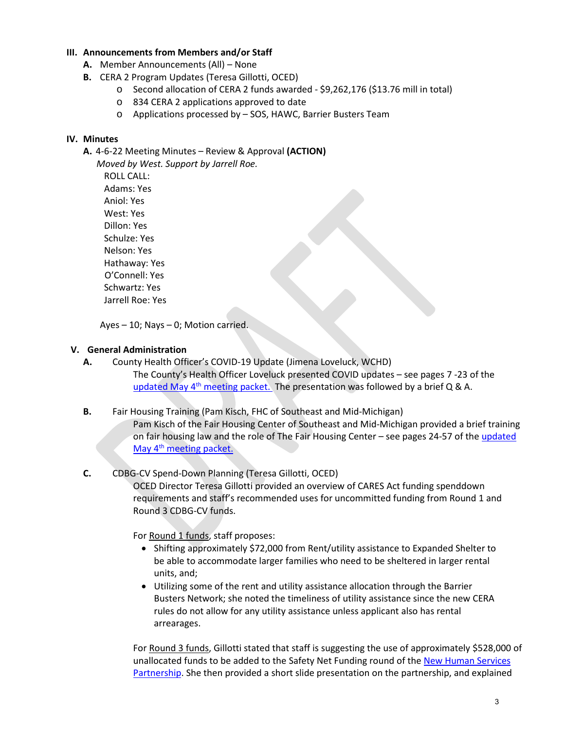#### **III. Announcements from Members and/or Staff**

- **A.** Member Announcements (All) None
- **B.** CERA 2 Program Updates (Teresa Gillotti, OCED)
	- o Second allocation of CERA 2 funds awarded \$9,262,176 (\$13.76 mill in total)
	- o 834 CERA 2 applications approved to date
	- o Applications processed by SOS, HAWC, Barrier Busters Team

#### **IV. Minutes**

**A.** 4-6-22 Meeting Minutes – Review & Approval **(ACTION)** 

 *Moved by West. Support by Jarrell Roe.*  ROLL CALL: Adams: Yes Aniol: Yes West: Yes Dillon: Yes Schulze: Yes Nelson: Yes Hathaway: Yes O'Connell: Yes Schwartz: Yes Jarrell Roe: Yes

Ayes – 10; Nays – 0; Motion carried.

#### **V. General Administration**

- **A.** County Health Officer's COVID-19 Update (Jimena Loveluck, WCHD) The County's Health Officer Loveluck presented COVID updates – see pages 7 -23 of the updated May  $4<sup>th</sup>$  [meeting packet.](https://www.washtenaw.org/AgendaCenter/ViewFile/Agenda/_05042022-1759) The presentation was followed by a brief Q & A.
- **B.** Fair Housing Training (Pam Kisch, FHC of Southeast and Mid-Michigan) Pam Kisch of the Fair Housing Center of Southeast and Mid-Michigan provided a brief training on fair housing law and the role of The Fair Housing Center – see pages 24-57 of the [updated](https://www.washtenaw.org/AgendaCenter/ViewFile/Agenda/_05042022-1759)  May 4<sup>th</sup> meeting packet.

#### **C.** CDBG-CV Spend-Down Planning (Teresa Gillotti, OCED)

OCED Director Teresa Gillotti provided an overview of CARES Act funding spenddown requirements and staff's recommended uses for uncommitted funding from Round 1 and Round 3 CDBG-CV funds.

For Round 1 funds, staff proposes:

- Shifting approximately \$72,000 from Rent/utility assistance to Expanded Shelter to be able to accommodate larger families who need to be sheltered in larger rental units, and;
- Utilizing some of the rent and utility assistance allocation through the Barrier Busters Network; she noted the timeliness of utility assistance since the new CERA rules do not allow for any utility assistance unless applicant also has rental arrearages.

For Round 3 funds, Gillotti stated that staff is suggesting the use of approximately \$528,000 of unallocated funds to be added to the Safety Net Funding round of the [New Human Services](https://www.washtenaw.org/3422/New-Human-Services-Partnership-Planning)  [Partnership.](https://www.washtenaw.org/3422/New-Human-Services-Partnership-Planning) She then provided a short slide presentation on the partnership, and explained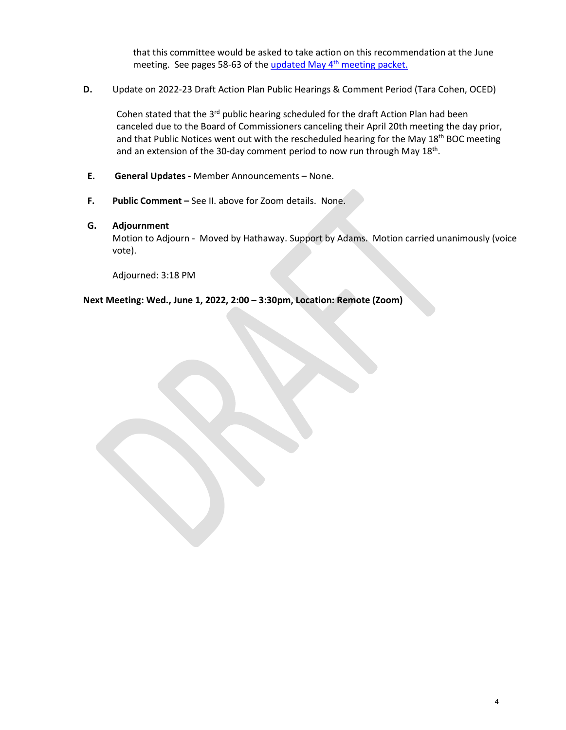that this committee would be asked to take action on this recommendation at the June meeting. See pages 58-63 of the updated May 4<sup>th</sup> meeting packet.

**D.** Update on 2022-23 Draft Action Plan Public Hearings & Comment Period (Tara Cohen, OCED)

Cohen stated that the  $3^{rd}$  public hearing scheduled for the draft Action Plan had been canceled due to the Board of Commissioners canceling their April 20th meeting the day prior, and that Public Notices went out with the rescheduled hearing for the May 18<sup>th</sup> BOC meeting and an extension of the 30-day comment period to now run through May 18<sup>th</sup>.

- **E. General Updates** Member Announcements None.
- **F. Public Comment** See II. above for Zoom details. None.

#### **G. Adjournment**

Motion to Adjourn - Moved by Hathaway. Support by Adams.Motion carried unanimously (voice vote).

Adjourned: 3:18 PM

**Next Meeting: Wed., June 1, 2022, 2:00 – 3:30pm, Location: Remote (Zoom)**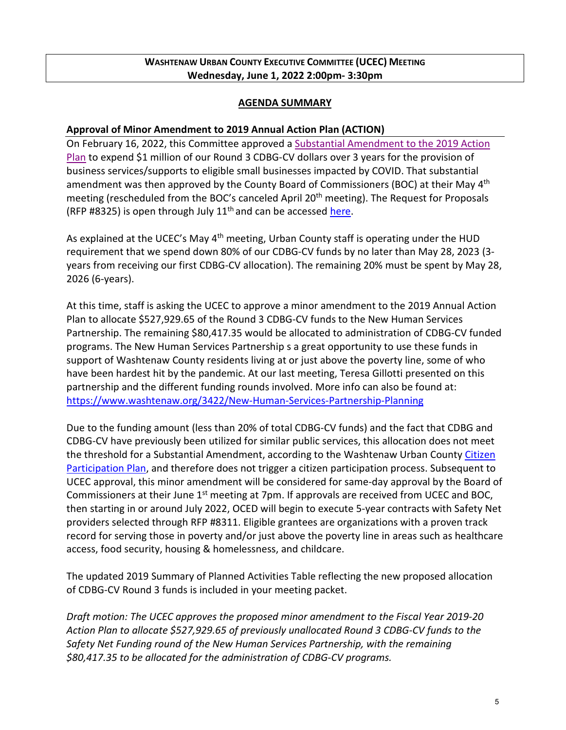## **WASHTENAW URBAN COUNTY EXECUTIVE COMMITTEE (UCEC) MEETING Wednesday, June 1, 2022 2:00pm- 3:30pm**

#### **AGENDA SUMMARY**

### **Approval of Minor Amendment to 2019 Annual Action Plan (ACTION)**

On February 16, 2022, this Committee approved a [Substantial Amendment to the 2019 Action](https://www.washtenaw.org/ArchiveCenter/ViewFile/Item/1122)  [Plan](https://www.washtenaw.org/ArchiveCenter/ViewFile/Item/1122) to expend \$1 million of our Round 3 CDBG-CV dollars over 3 years for the provision of business services/supports to eligible small businesses impacted by COVID. That substantial amendment was then approved by the County Board of Commissioners (BOC) at their May 4<sup>th</sup> meeting (rescheduled from the BOC's canceled April 20<sup>th</sup> meeting). The Request for Proposals (RFP #8325) is open through July  $11<sup>th</sup>$  and can be accessed [here.](https://www.washtenaw.org/2431/Open-Bids)

As explained at the UCEC's May 4<sup>th</sup> meeting, Urban County staff is operating under the HUD requirement that we spend down 80% of our CDBG-CV funds by no later than May 28, 2023 (3 years from receiving our first CDBG-CV allocation). The remaining 20% must be spent by May 28, 2026 (6-years).

At this time, staff is asking the UCEC to approve a minor amendment to the 2019 Annual Action Plan to allocate \$527,929.65 of the Round 3 CDBG-CV funds to the New Human Services Partnership. The remaining \$80,417.35 would be allocated to administration of CDBG-CV funded programs. The New Human Services Partnership s a great opportunity to use these funds in support of Washtenaw County residents living at or just above the poverty line, some of who have been hardest hit by the pandemic. At our last meeting, Teresa Gillotti presented on this partnership and the different funding rounds involved. More info can also be found at: <https://www.washtenaw.org/3422/New-Human-Services-Partnership-Planning>

Due to the funding amount (less than 20% of total CDBG-CV funds) and the fact that CDBG and CDBG-CV have previously been utilized for similar public services, this allocation does not meet the threshold for a Substantial Amendment, according to the Washtenaw Urban County Citizen [Participation Plan,](https://www.washtenaw.org/DocumentCenter/View/18178/Washtenaw-UC-Citizen-Participation-Plan_amended_approved070120?bidId=) and therefore does not trigger a citizen participation process. Subsequent to UCEC approval, this minor amendment will be considered for same-day approval by the Board of Commissioners at their June  $1<sup>st</sup>$  meeting at 7pm. If approvals are received from UCEC and BOC, then starting in or around July 2022, OCED will begin to execute 5-year contracts with Safety Net providers selected through RFP #8311. Eligible grantees are organizations with a proven track record for serving those in poverty and/or just above the poverty line in areas such as healthcare access, food security, housing & homelessness, and childcare.

The updated 2019 Summary of Planned Activities Table reflecting the new proposed allocation of CDBG-CV Round 3 funds is included in your meeting packet.

*Draft motion: The UCEC approves the proposed minor amendment to the Fiscal Year 2019-20 Action Plan to allocate \$527,929.65 of previously unallocated Round 3 CDBG-CV funds to the Safety Net Funding round of the New Human Services Partnership, with the remaining \$80,417.35 to be allocated for the administration of CDBG-CV programs.*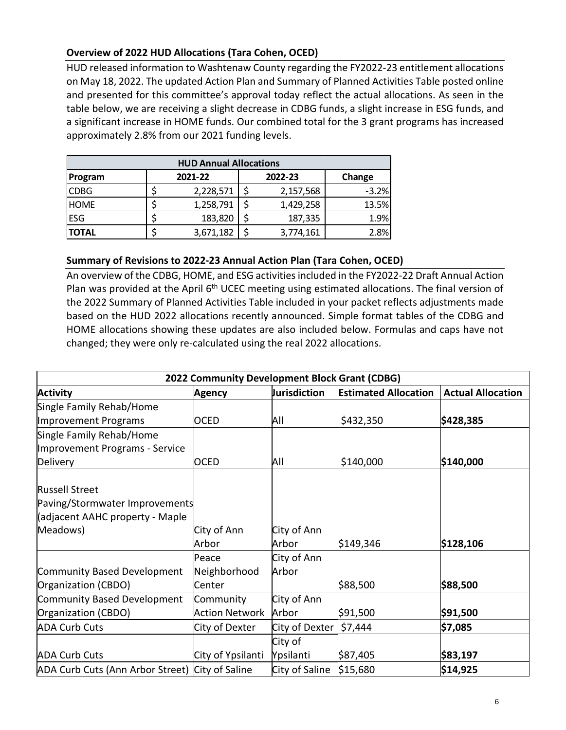## **Overview of 2022 HUD Allocations (Tara Cohen, OCED)**

HUD released information to Washtenaw County regarding the FY2022-23 entitlement allocations on May 18, 2022. The updated Action Plan and Summary of Planned Activities Table posted online and presented for this committee's approval today reflect the actual allocations. As seen in the table below, we are receiving a slight decrease in CDBG funds, a slight increase in ESG funds, and a significant increase in HOME funds. Our combined total for the 3 grant programs has increased approximately 2.8% from our 2021 funding levels.

| <b>HUD Annual Allocations</b> |  |           |  |           |         |  |  |  |  |
|-------------------------------|--|-----------|--|-----------|---------|--|--|--|--|
| Program                       |  | 2021-22   |  | 2022-23   | Change  |  |  |  |  |
| <b>CDBG</b>                   |  | 2,228,571 |  | 2,157,568 | $-3.2%$ |  |  |  |  |
| <b>HOME</b>                   |  | 1,258,791 |  | 1,429,258 | 13.5%   |  |  |  |  |
| <b>ESG</b>                    |  | 183,820   |  | 187,335   | 1.9%    |  |  |  |  |
| <b>TOTAL</b>                  |  | 3,671,182 |  | 3,774,161 | 2.8%    |  |  |  |  |

## **Summary of Revisions to 2022-23 Annual Action Plan (Tara Cohen, OCED)**

An overview of the CDBG, HOME, and ESG activities included in the FY2022-22 Draft Annual Action Plan was provided at the April  $6<sup>th</sup>$  UCEC meeting using estimated allocations. The final version of the 2022 Summary of Planned Activities Table included in your packet reflects adjustments made based on the HUD 2022 allocations recently announced. Simple format tables of the CDBG and HOME allocations showing these updates are also included below. Formulas and caps have not changed; they were only re-calculated using the real 2022 allocations.

| 2022 Community Development Block Grant (CDBG)   |                       |                |                             |                          |  |  |  |
|-------------------------------------------------|-----------------------|----------------|-----------------------------|--------------------------|--|--|--|
| <b>Activity</b>                                 | <b>Agency</b>         | Jurisdiction   | <b>Estimated Allocation</b> | <b>Actual Allocation</b> |  |  |  |
| Single Family Rehab/Home                        |                       |                |                             |                          |  |  |  |
| Improvement Programs                            | <b>OCED</b>           | All            | \$432,350                   | \$428,385                |  |  |  |
| Single Family Rehab/Home                        |                       |                |                             |                          |  |  |  |
| Improvement Programs - Service                  |                       |                |                             |                          |  |  |  |
| Delivery                                        | <b>OCED</b>           | All            | \$140,000                   | \$140,000                |  |  |  |
| <b>Russell Street</b>                           |                       |                |                             |                          |  |  |  |
| Paving/Stormwater Improvements                  |                       |                |                             |                          |  |  |  |
| (adjacent AAHC property - Maple                 |                       |                |                             |                          |  |  |  |
| Meadows)                                        | City of Ann           | City of Ann    |                             |                          |  |  |  |
|                                                 | Arbor                 | Arbor          | \$149,346                   | \$128,106                |  |  |  |
|                                                 | Peace                 | City of Ann    |                             |                          |  |  |  |
| Community Based Development                     | Neighborhood          | Arbor          |                             |                          |  |  |  |
| Organization (CBDO)                             | Center                |                | \$88,500                    | \$88,500                 |  |  |  |
| Community Based Development                     | Community             | City of Ann    |                             |                          |  |  |  |
| Organization (CBDO)                             | <b>Action Network</b> | Arbor          | \$91,500                    | \$91,500                 |  |  |  |
| <b>ADA Curb Cuts</b>                            | City of Dexter        | City of Dexter | \$7,444                     | \$7,085                  |  |  |  |
|                                                 |                       | City of        |                             |                          |  |  |  |
| <b>ADA Curb Cuts</b>                            | City of Ypsilanti     | Ypsilanti      | \$87,405                    | \$83,197                 |  |  |  |
| ADA Curb Cuts (Ann Arbor Street) City of Saline |                       | City of Saline | \$15,680                    | \$14,925                 |  |  |  |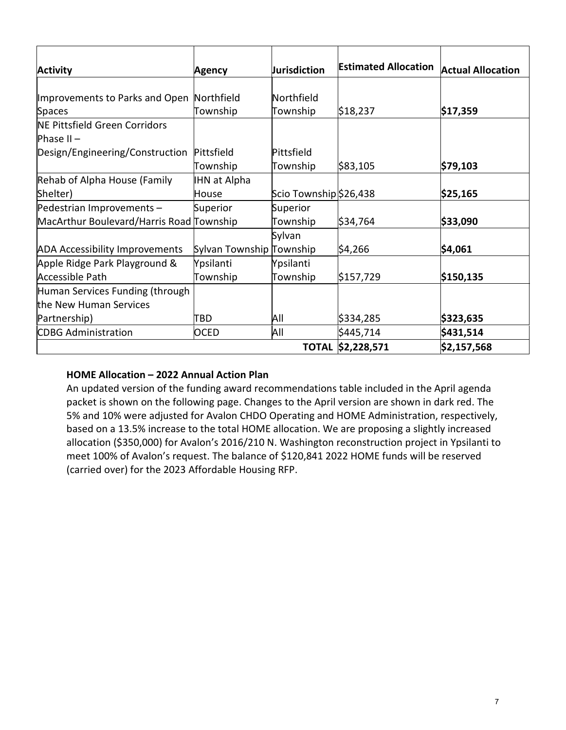| <b>Activity</b>                            | <b>Agency</b>            | <b>Jurisdiction</b>    | <b>Estimated Allocation</b> | <b>Actual Allocation</b> |
|--------------------------------------------|--------------------------|------------------------|-----------------------------|--------------------------|
|                                            |                          |                        |                             |                          |
| Improvements to Parks and Open             | Northfield               | Northfield             |                             |                          |
| <b>Spaces</b>                              | Township                 | Township               | \$18,237                    | \$17,359                 |
| NE Pittsfield Green Corridors              |                          |                        |                             |                          |
| Phase $II -$                               |                          |                        |                             |                          |
| Design/Engineering/Construction Pittsfield |                          | Pittsfield             |                             |                          |
|                                            | Township                 | Township               | \$83,105                    | \$79,103                 |
| Rehab of Alpha House (Family               | <b>IHN at Alpha</b>      |                        |                             |                          |
| Shelter)                                   | House                    | Scio Township \$26,438 |                             | \$25,165                 |
| Pedestrian Improvements -                  | Superior                 | Superior               |                             |                          |
| MacArthur Boulevard/Harris Road Township   |                          | Township               | \$34,764                    | \$33,090                 |
|                                            |                          | Sylvan                 |                             |                          |
| <b>ADA Accessibility Improvements</b>      | Sylvan Township Township |                        | \$4,266                     | \$4,061                  |
| Apple Ridge Park Playground &              | Ypsilanti                | Ypsilanti              |                             |                          |
| <b>Accessible Path</b>                     | Township                 | Township               | \$157,729                   | \$150,135                |
| Human Services Funding (through            |                          |                        |                             |                          |
| the New Human Services                     |                          |                        |                             |                          |
| Partnership)                               | TBD                      | All                    | \$334,285                   | \$323,635                |
| <b>CDBG Administration</b>                 | <b>OCED</b>              | All                    | \$445,714                   | \$431,514                |
|                                            |                          |                        | TOTAL \$2,228,571           | \$2,157,568              |

## **HOME Allocation – 2022 Annual Action Plan**

An updated version of the funding award recommendations table included in the April agenda packet is shown on the following page. Changes to the April version are shown in dark red. The 5% and 10% were adjusted for Avalon CHDO Operating and HOME Administration, respectively, based on a 13.5% increase to the total HOME allocation. We are proposing a slightly increased allocation (\$350,000) for Avalon's 2016/210 N. Washington reconstruction project in Ypsilanti to meet 100% of Avalon's request. The balance of \$120,841 2022 HOME funds will be reserved (carried over) for the 2023 Affordable Housing RFP.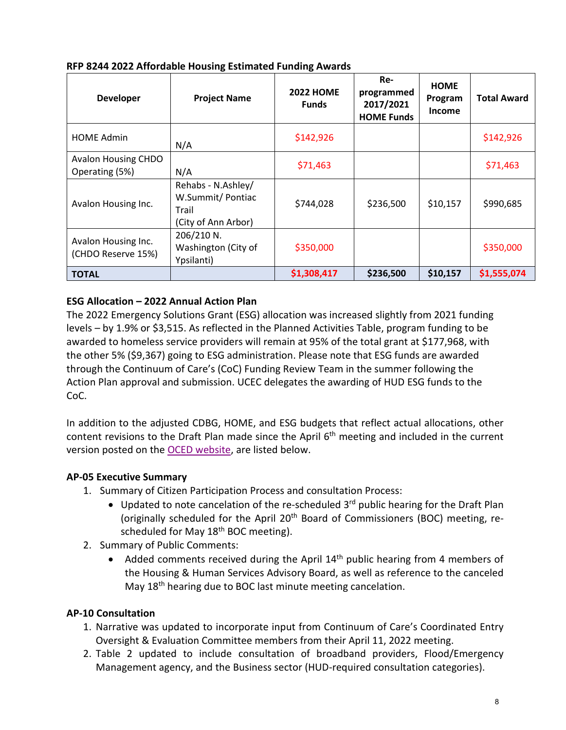| <b>Developer</b>                          | <b>Project Name</b>                                                    | <b>2022 HOME</b><br><b>Funds</b> | Re-<br>programmed<br>2017/2021<br><b>HOME Funds</b> | <b>HOME</b><br>Program<br>Income | <b>Total Award</b> |
|-------------------------------------------|------------------------------------------------------------------------|----------------------------------|-----------------------------------------------------|----------------------------------|--------------------|
| <b>HOME Admin</b>                         | N/A                                                                    | \$142,926                        |                                                     |                                  | \$142,926          |
| Avalon Housing CHDO<br>Operating (5%)     | N/A                                                                    | \$71,463                         |                                                     |                                  | \$71,463           |
| Avalon Housing Inc.                       | Rehabs - N.Ashley/<br>W.Summit/Pontiac<br>Trail<br>(City of Ann Arbor) | \$744,028                        | \$236,500                                           | \$10,157                         | \$990,685          |
| Avalon Housing Inc.<br>(CHDO Reserve 15%) | 206/210 N.<br>Washington (City of<br>Ypsilanti)                        | \$350,000                        |                                                     |                                  | \$350,000          |
| <b>TOTAL</b>                              |                                                                        | \$1,308,417                      | \$236,500                                           | \$10,157                         | \$1,555,074        |

## **RFP 8244 2022 Affordable Housing Estimated Funding Awards**

## **ESG Allocation – 2022 Annual Action Plan**

The 2022 Emergency Solutions Grant (ESG) allocation was increased slightly from 2021 funding levels – by 1.9% or \$3,515. As reflected in the Planned Activities Table, program funding to be awarded to homeless service providers will remain at 95% of the total grant at \$177,968, with the other 5% (\$9,367) going to ESG administration. Please note that ESG funds are awarded through the Continuum of Care's (CoC) Funding Review Team in the summer following the Action Plan approval and submission. UCEC delegates the awarding of HUD ESG funds to the CoC.

In addition to the adjusted CDBG, HOME, and ESG budgets that reflect actual allocations, other content revisions to the Draft Plan made since the April 6<sup>th</sup> meeting and included in the current version posted on the [OCED website,](https://www.washtenaw.org/603/Urban-County-Plans-Reports) are listed below.

## **AP-05 Executive Summary**

- 1. Summary of Citizen Participation Process and consultation Process:
	- Updated to note cancelation of the re-scheduled  $3^{rd}$  public hearing for the Draft Plan (originally scheduled for the April  $20<sup>th</sup>$  Board of Commissioners (BOC) meeting, rescheduled for May  $18<sup>th</sup>$  BOC meeting).
- 2. Summary of Public Comments:
	- Added comments received during the April  $14<sup>th</sup>$  public hearing from 4 members of the Housing & Human Services Advisory Board, as well as reference to the canceled May 18<sup>th</sup> hearing due to BOC last minute meeting cancelation.

## **AP-10 Consultation**

- 1. Narrative was updated to incorporate input from Continuum of Care's Coordinated Entry Oversight & Evaluation Committee members from their April 11, 2022 meeting.
- 2. Table 2 updated to include consultation of broadband providers, Flood/Emergency Management agency, and the Business sector (HUD-required consultation categories).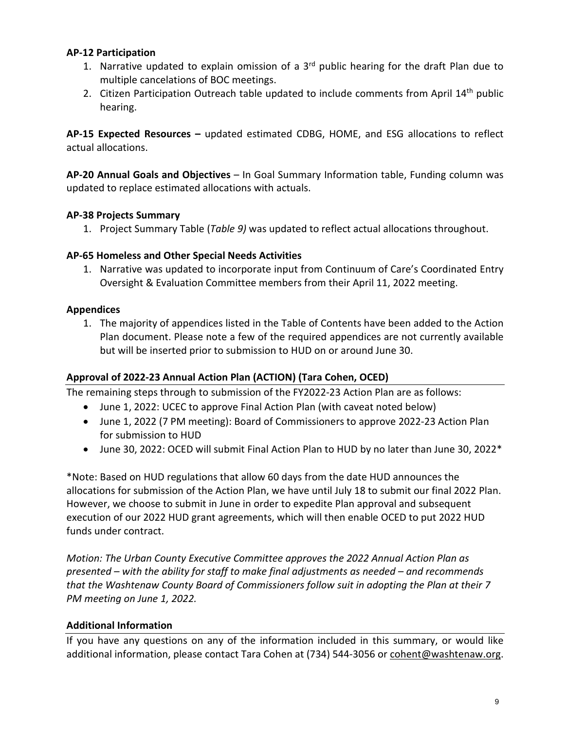### **AP-12 Participation**

- 1. Narrative updated to explain omission of a  $3<sup>rd</sup>$  public hearing for the draft Plan due to multiple cancelations of BOC meetings.
- 2. Citizen Participation Outreach table updated to include comments from April 14<sup>th</sup> public hearing.

**AP-15 Expected Resources –** updated estimated CDBG, HOME, and ESG allocations to reflect actual allocations.

**AP-20 Annual Goals and Objectives** – In Goal Summary Information table, Funding column was updated to replace estimated allocations with actuals.

#### **AP-38 Projects Summary**

1. Project Summary Table (*Table 9)* was updated to reflect actual allocations throughout.

#### **AP-65 Homeless and Other Special Needs Activities**

1. Narrative was updated to incorporate input from Continuum of Care's Coordinated Entry Oversight & Evaluation Committee members from their April 11, 2022 meeting.

#### **Appendices**

1. The majority of appendices listed in the Table of Contents have been added to the Action Plan document. Please note a few of the required appendices are not currently available but will be inserted prior to submission to HUD on or around June 30.

## **Approval of 2022-23 Annual Action Plan (ACTION) (Tara Cohen, OCED)**

The remaining steps through to submission of the FY2022-23 Action Plan are as follows:

- June 1, 2022: UCEC to approve Final Action Plan (with caveat noted below)
- June 1, 2022 (7 PM meeting): Board of Commissioners to approve 2022-23 Action Plan for submission to HUD
- June 30, 2022: OCED will submit Final Action Plan to HUD by no later than June 30, 2022\*

\*Note: Based on HUD regulations that allow 60 days from the date HUD announces the allocations for submission of the Action Plan, we have until July 18 to submit our final 2022 Plan. However, we choose to submit in June in order to expedite Plan approval and subsequent execution of our 2022 HUD grant agreements, which will then enable OCED to put 2022 HUD funds under contract.

*Motion: The Urban County Executive Committee approves the 2022 Annual Action Plan as presented – with the ability for staff to make final adjustments as needed – and recommends that the Washtenaw County Board of Commissioners follow suit in adopting the Plan at their 7 PM meeting on June 1, 2022.* 

#### **Additional Information**

If you have any questions on any of the information included in this summary, or would like additional information, please contact Tara Cohen at (734) 544-3056 o[r cohent@washtenaw.org.](mailto:cohent@washtenaw.org)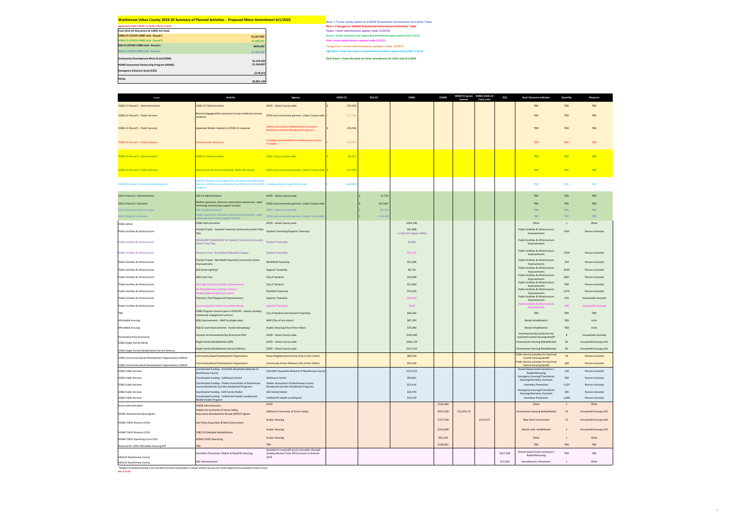*Approved by UCEC 4.28.29, 11.10.20, 5.05.21, 2.16.22* **Red = Changes to 4/28/20 Substantial Amendment Activities Table Green = Funds included in the Substantial Amendment approved by UCEC 5/5/21 Light Blue = Funds allocated via Substantial Amendment approved by UCEC 2/16/22 Dark Green = Funds allocated via minor amendment, for UCEC vote 6/1/2022**

**Final 2019-20 Allocations & CARES Act funds Purple = minor administrative updates made 12/29/20 CDBG-CV (COVID CARES Act) - Round 1** *Because 1* **<b>***Because 1 <b>Act 1 Because 1 <b>Act 1 Because 1 <b>Act 1 Because 1 <b>Act 1 Because 1 <b>Act 1 Because 1 <b>Act 1 Because 1 <b>Act 1 Because 1 <b>Act 1* **CDBG-CV (COVID CARES Act) - Round 3 \$1,608,347 Pink = minor administrative updates made 5/20/21 ESG-CV (COVID CARES Act) - Round 1** *Sound 1 Sound 1 Sound 1* **<b>1** *Sound 2129/21* **1** *Tangerine = minor administrative updates made 12/29/21* **ESG-CV (COVID CARES Act) - Round 2** *\$1,794,203* **\$2,123,502 \$178,973 \$8,881,199**

**Community Development Block Grant (CDBG)**

**HOME Investment Partnership Program (HOME) \$1,264,807**

**Emergency Solutions Grant (ESG)** 

**TOTAL**

CDBG-CV Round 1 - Public Services

CDBG-CV Round 1 - Public Services

CDBG-CV Round 1 - Public Services

CDBG-CV Round 3 - Economic Development

ESG-CV Round 1 Activities

CDBG Admin

Public Facilities & Infrastructure

Public Facilities & Infrastructure

Public Facilities & Infrastructure

Public Facilities & Infrastructure

Public Facilities & Infrastructure

Public Facilities & Infrastructure

Public Facilities & Infrastructure

HESG19 Washtenaw County HESG19 Washtenaw County

Public Facilities & Infrastructure

Public Facilities & Infrastructure

Public Facilities & Infrastructure

| <b>Project</b>                                               | <b>Activity</b>                                                                                                                                                               | <b>Agency</b>                                                                                  | <b>CDBG-CV</b>       | <b>ESG-CV</b> | <b>CDBG</b>                             | <b>HOME</b>            | HOME Program HOME 2018-19 | <b>ESG</b>        | <b>Goal Outcome Indicator</b>                                                 | Quantity           | <b>Measure</b>                                                 |
|--------------------------------------------------------------|-------------------------------------------------------------------------------------------------------------------------------------------------------------------------------|------------------------------------------------------------------------------------------------|----------------------|---------------|-----------------------------------------|------------------------|---------------------------|-------------------|-------------------------------------------------------------------------------|--------------------|----------------------------------------------------------------|
| <b>CDBG-CV Round 1 - Admininistration</b>                    | <b>CDBG-CV Administration</b>                                                                                                                                                 | <b>OCED - Urban County wide</b>                                                                | 253,593              |               |                                         |                        | <b>Income</b>             | <b>Carry over</b> | <b>TBD</b>                                                                    | <b>TBD</b>         | TBD                                                            |
|                                                              | Rent/mortgage/utility assistance to low-moderate income                                                                                                                       |                                                                                                |                      |               |                                         |                        |                           |                   |                                                                               |                    |                                                                |
| <b>CDBG-CV Round 1 - Public Services</b>                     | residents                                                                                                                                                                     | OCED and community partners, Urban County wide   \$                                            | 257,18               |               |                                         |                        |                           |                   | <b>TBD</b>                                                                    | <b>TBD</b>         | TBD                                                            |
| <b>CDBG-CV Round 1 - Public Services</b>                     | <b>Expanded Shelter related to COVID-19 response</b>                                                                                                                          | Shelter Association of Washtenaw County for<br><b>Residential and Non-Residential Programs</b> | 253,593              |               |                                         |                        |                           |                   | <b>TBD</b>                                                                    | <b>TBD</b>         | TBD                                                            |
| CDBG-CV Round 1 - Public Services                            | <b>Homelessness Response</b>                                                                                                                                                  | <b>Funding round available to Homelessness Service</b><br>Providers                            | 503,59               |               |                                         |                        |                           |                   | <b>TBD</b>                                                                    | <b>TBD</b>         | TBD                                                            |
| <b>CDBG-CV Round 3 - Administration</b>                      | <b>CDBG-CV Administration</b>                                                                                                                                                 | <b>OCED- Urban County wide</b>                                                                 | 80,417               |               |                                         |                        |                           |                   | <b>TBD</b>                                                                    | <b>TBD</b>         | <b>TBD</b>                                                     |
| <b>CDBG-CV Round 3 - Public Services</b>                     | New Human Services Partnership, Safety Net Grants <b>Some COCED</b> and community partners, Urban County wide S                                                               |                                                                                                | <mark>527,930</mark> |               |                                         |                        |                           |                   | <b>TBD</b>                                                                    | <b>Example TBD</b> | <b>TBD</b>                                                     |
| <b>CDBG-CV Round 3 - Economic Development</b>                | <b>Business Services and Support for Low-Mod Income Business</b><br>Owners with Businesses Impacted by COVID-19 (3-Year Pilot Funding will go through RFP process<br>Program) |                                                                                                | 1,000,00             |               |                                         |                        |                           |                   | <b>TBD</b>                                                                    | <b>TBD</b>         | <b>TBD</b>                                                     |
| <b>ESG-CV Round 1 Administration</b>                         | <b>ESG-CV Administration</b>                                                                                                                                                  | <b>OCED - Urban County wide</b>                                                                |                      | 25,736        |                                         |                        |                           |                   | <b>TBD</b>                                                                    | TBD                | TBD                                                            |
| <b>ESG-CV Round 1 Activities</b>                             | Shelter expansion, diversion and eviction prevention, rapid<br>rehousing and housing support services                                                                         | OCED and community partners, Urban County wide                                                 |                      | 617,667       |                                         |                        |                           |                   | <b>TBD</b>                                                                    | TBD                | TBD                                                            |
| <b>ESG-CV Round 2 Administration</b>                         | <b>ESG-CV Administration</b>                                                                                                                                                  | <b>OCED - Urban County wide</b>                                                                |                      | 89,710        |                                         |                        |                           |                   | TBD                                                                           | <b>TBD</b>         | TBD                                                            |
| <b>ESG-CV Round 2 Activities</b>                             | Shelter expansion, diversion and eviction prevention, rapid<br>rehousing and housing support services                                                                         | OCED and community partners, Urban County wide                                                 |                      | 1,704,493     |                                         |                        |                           |                   | TBD                                                                           | <b>TBD</b>         | TBD                                                            |
| <b>CDBG Admin</b>                                            | <b>CDBG Administration</b>                                                                                                                                                    | <b>OCED - Urban County wide</b>                                                                |                      |               | \$424,700                               |                        |                           |                   | Other                                                                         |                    | Other                                                          |
| <b>Public Facilities &amp; Infrastructure</b>                | <b>Priority Project - Ypsilanti Townshp Community Center Floor</b><br><b>Tiles</b>                                                                                            | Ypsilanti Township/Superior Township                                                           |                      |               | \$61,898<br>$(+$ \$60,643 regular CDBG) |                        |                           |                   | <b>Public Facilities &amp; Infrastructure</b><br>Improvements                 | 7545               | <b>Persons Assisted</b>                                        |
| <b>Public Facilities &amp; Infrastructure</b>                | DESIGN/RFP ASSISTANCE for Ypsilanti Townshp Community<br><b>Center Floor Tiles</b>                                                                                            | Ypsilanti Township                                                                             |                      |               | \$6,000                                 |                        |                           |                   | <b>Public Facilities &amp; Infrastructure</b><br>Improvements                 |                    |                                                                |
| <b>Public Facilities &amp; Infrastructure</b>                | Schooner Cove - Bus Shelter/Sidewalk Linkages                                                                                                                                 | <b>Ypsilanti Township</b>                                                                      |                      |               | \$70,137                                |                        |                           |                   | <b>Public Facilities &amp; Infrastructure</b><br>Improvements                 | 1359               | <b>Persons Assisted</b>                                        |
| Public Facilities & Infrastructure                           | <b>Priority Project - Northfield Township Community Center</b><br><b>Improvements</b>                                                                                         | Northfield Township                                                                            |                      |               | \$91,286                                |                        |                           |                   | <b>Public Facilities &amp; Infrastructure</b><br>Improvements                 | 744                | <b>Persons Assisted</b>                                        |
| <b>Public Facilities &amp; Infrastructure</b>                | LED Street Lighting*                                                                                                                                                          | <b>Augusta Township</b>                                                                        |                      |               | \$8,733                                 |                        |                           |                   | <b>Public Facilities &amp; Infrastructure</b><br>Improvements                 | 4540               | <b>Persons Assisted</b>                                        |
| Public Facilities & Infrastructure                           | <b>ADA Curb Cuts</b>                                                                                                                                                          | City of Ypsilanti                                                                              |                      |               | \$50,000                                |                        |                           |                   | <b>Public Facilities &amp; Infrastructure</b>                                 | 2867               | <b>Persons Assisted</b>                                        |
| Public Facilities & Infrastructure                           | arkridge Park Accessibility Improvements                                                                                                                                      | City of Ypsilanti                                                                              |                      |               | \$21,660                                |                        |                           |                   | Improvements<br>Public Facilities & Infrastructure                            | TBD                | <b>Persons Assisted</b>                                        |
| Public Facilities & Infrastructure                           | E Pittsfield Green Corridors Phase I -<br>esign/Engineering/Construction                                                                                                      | <b>Pittsfield Township</b>                                                                     |                      |               | \$70,403                                |                        |                           |                   | Improvements<br><b>Public Facilities &amp; Infrastructure</b><br>Improvements | 1579               | <b>Persons Assisted</b>                                        |
| Public Facilities & Infrastructure                           | Fireman's Park Playground Improvements                                                                                                                                        | <b>Superior Township</b>                                                                       |                      |               | \$29,619                                |                        |                           |                   | <b>Public Facilities &amp; Infrastructure</b><br>Improvements                 | 450                | <b>Households Assisted</b>                                     |
| Public Facilities & Infrastructure                           | ommunity Park Tennis Court Resurfacing                                                                                                                                        | <b>Superior Township</b>                                                                       |                      |               | \$164                                   |                        |                           |                   | Public Facilities & Infrastructure                                            | 600                | <b>Households Assisted</b>                                     |
| TBD                                                          | CDBG Program income spent in R/ECAPs - details pending                                                                                                                        | City of Ypsilanti and Ypsilanti Township                                                       |                      |               | \$99,364                                |                        |                           |                   | Improvements<br><b>TBD</b>                                                    | TBD                | TBD                                                            |
| <b>Affordable Housing</b>                                    | community engagement process<br>HQS improvements - MAP (multiple sites)                                                                                                       | MAP (City of Ann Arbor)                                                                        |                      |               | \$87,193                                |                        |                           |                   | Rental rehabilitation                                                         | TBD                | Units                                                          |
| Affordable Housing                                           | HQS & Lead improvements - Avalon (Broadway)                                                                                                                                   | Avalon Housing (City of Ann Arbor)                                                             |                      |               | \$70,000                                |                        |                           |                   | <b>Rental rehabilitation</b>                                                  | TBD                | <b>Units</b>                                                   |
|                                                              | Voucher-to-Homeownership Assistance Pilot                                                                                                                                     | <b>OCED - Urban County wide</b>                                                                |                      |               | \$105,000                               |                        |                           |                   | Homeownership Assistance for                                                  |                    | <b>Households Assisted</b>                                     |
| Homeownership Assistance                                     | <b>Single Family Rehabilitation (SFR)</b>                                                                                                                                     | <b>OCED - Urban County wide</b>                                                                |                      |               | \$340,129                               |                        |                           |                   | low/mod income housing benefit<br>Homeowner Housing Rehabilitated             | 60                 | <b>Household Housing Unit</b>                                  |
| <b>CDBG Single Family Rehab</b>                              | Single Family Rehabilitation Service Delivery                                                                                                                                 | <b>OCED - Urban County wide</b>                                                                |                      |               | \$127,410                               |                        |                           |                   | Homeowner Housing Rehabilitated                                               | 60                 | <b>Household Housing Unit</b>                                  |
| <b>CDBG Single Family Rehabilitation Service Delivery</b>    | <b>Community Based Development Organization</b>                                                                                                                               | Peace Neighborhood Center (City of Ann Arbor)                                                  |                      |               | \$88,500                                |                        |                           |                   | <b>Public Service activities for low/mod</b>                                  | 70                 | <b>Persons Assisted</b>                                        |
| <b>CDBG Community Based Development Organizations (CBDO)</b> | <b>Community Based Development Organization</b>                                                                                                                               | Community Action Network (City of Ann Arbor)                                                   |                      |               | \$91,500                                |                        |                           |                   | income housing benefit<br><b>Public Service activities for low/mod</b>        | 180                | <b>Persons Assisted</b>                                        |
| <b>CDBG Community Based Development Organizations (CBDO)</b> | Coordinated Funding - Interfaith Hospitality Network of                                                                                                                       |                                                                                                |                      |               |                                         |                        |                           |                   | income housing benefit<br>Tenant-based rental assistance /                    |                    |                                                                |
| <b>CDBG Public Services</b>                                  | <b>Washtenaw County</b>                                                                                                                                                       | Interfaith Hosptality Network of Washtenaw County                                              |                      |               | \$123,315                               |                        |                           |                   | <b>Rapid Rehousing</b><br><b>Emergency housing/Transitional</b>               | 130                | <b>Persons Assisted</b>                                        |
| <b>CDBG Public Services</b>                                  | Coordinated Funding - SafeHouse Center<br>Coordinated Funding - Shelter Association of Washtenaw                                                                              | SafeHouse Center<br>Shelter Association of Washtenaw County                                    |                      |               | \$90,801                                |                        |                           |                   | Housing/Homeless Outreach                                                     | 300                | <b>Persons Assisted</b>                                        |
| <b>CDBG Public Services</b>                                  | County Residential and Non-Residential Programs                                                                                                                               | <b>Residential and Non-Residential Programs</b>                                                |                      |               | \$51,414                                |                        |                           |                   | <b>Homeless Prevention</b><br><b>Emergency housing/Transitional</b>           | 1,025              | <b>Persons Assisted</b>                                        |
| <b>CDBG Public Services</b><br><b>CDBG Public Services</b>   | Coordinated Funding - SOS Family Shelter<br>Coordinated Funding - Unified-HIV Health and Beyond:                                                                              | <b>SOS Family Shelter</b><br>Unified-HIV Health and Beyond                                     |                      |               | \$28,745<br>\$24,250                    |                        |                           |                   | Housing/Homeless Outreach<br><b>Homeless Prevention</b>                       | 100<br>1,000       | <b>Persons Assisted</b><br><b>Persons Assisted</b>             |
|                                                              | Mobile Health Program                                                                                                                                                         | OCED                                                                                           |                      |               |                                         | \$126,480              |                           |                   | Other                                                                         |                    | Other                                                          |
| <b>Home Administration</b>                                   | <b>HOME Administration</b><br><b>Habitat for Humanity of Huron Valley</b>                                                                                                     | <b>Habitat for Humanity of Huron Valley</b>                                                    |                      |               |                                         | \$437,958              | \$12,042.70               |                   | Homeowner Housing Rehabilitated                                               | 10                 | <b>Household Housing Unit</b>                                  |
| <b>HOME Homeownership program</b>                            | Acquisition Development Resale (ADR) Program                                                                                                                                  |                                                                                                |                      |               |                                         |                        |                           |                   |                                                                               |                    |                                                                |
| HOME CHDO Reserve (15%)                                      | Dan Hoey Acquisition & New Construction                                                                                                                                       | <b>Avalon Housing</b><br><b>Avalon Housing</b>                                                 |                      |               |                                         | \$157,328<br>\$310,000 |                           | \$132,672         | <b>New Units Constructed</b><br>Rental units rehabilitated                    | 22                 | <b>Household Housing Unit</b><br><b>Household Housing Unit</b> |
| HOME CHDO Reserve (15%)                                      | 108/110 Glendale Rehabilitation                                                                                                                                               |                                                                                                |                      |               |                                         |                        |                           |                   |                                                                               |                    |                                                                |
| HOME CHDO Operating Costs (5%)                               | <b>HOME CHDO Operating</b>                                                                                                                                                    | <b>Avalon Housing</b>                                                                          |                      |               |                                         | \$63,240               |                           |                   | Other                                                                         |                    | Other                                                          |
| Reserved for 2020 Affordable Housing RFP                     |                                                                                                                                                                               | <b>TBD</b><br>Awarded to nonprofit service providers through                                   |                      |               |                                         | \$169,801              |                           |                   | <b>TBD</b>                                                                    | TBD                | TBD                                                            |
| <b>HESG19 Washtenaw County</b>                               | Homeless Prevention, Shelter & Rapid Re-Housing                                                                                                                               | <b>Funding Review Team (FRT) process in Summer</b><br>2019                                     |                      |               |                                         |                        |                           | \$167,340         | Tenant-based rental assistance /<br><b>Rapid Rehousing</b>                    | TBD                | TBD                                                            |
| <b>HESG19 Washtenaw County</b>                               | <b>ESG Administration</b>                                                                                                                                                     |                                                                                                |                      |               |                                         |                        |                           | \$11,633          | <b>Homelessness Prevention</b>                                                |                    | Other                                                          |

Homeownership Assistance CDBG Single Family Rehab

CDBG Public Services

CDBG Public Services

CDBG Public Services

 $H$ ome Administration

HOME Homeownership program

 $HOME$  CHDO Reserve (15%)

HOME CHDO Reserve (15%)

*\*Subject to demonstrating 51% Low-Mod Income households in target area(s) by way of a HUD-approved household income survey.*

*Rev. 5.12.22*

# **Washtenaw Urban County 2019-20 Summary of Planned Activities - Proposed Minor Amendment 6/1/2022 Blue = Funds newly added to 4/28/20 Substantial Amendment Activities Table**